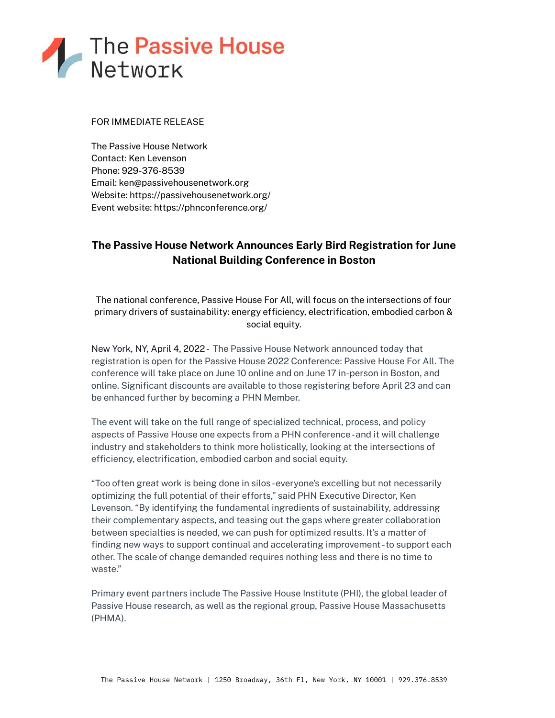

## FOR IMMEDIATE RELEASE

The Passive House Network Contact: Ken Levenson Phone: 929-376-8539 Email: ken@passivehousenetwork.org Website: https://passivehousenetwork.org/ Event website: https://phnconference.org/

# **The Passive House Network Announces Early Bird Registration for June National Building Conference in Boston**

The national conference, Passive House For All, will focus on the intersections of four primary drivers of sustainability: energy efficiency, electrification, embodied carbon & social equity.

New York, NY, April 4, 2022- The Passive House Network announced today that registration is open for the Passive House 2022 Conference: Passive House For All. The conference will take place on June 10 online and on June 17 in-person in Boston, and online. Significant discounts are available to those registering before April 23 and can be enhanced further by becoming a PHN Member.

The event will take on the full range of specialized technical, process, and policy aspects of Passive House one expects from a PHN conference-and it will challenge industry and stakeholders to think more holistically, looking at the intersections of efficiency, electrification, embodied carbon and social equity.

"Too often great work is being done in silos-everyone's excelling but not necessarily optimizing the full potential of their efforts," said PHN Executive Director, Ken Levenson. "By identifying the fundamental ingredients of sustainability, addressing their complementary aspects, and teasing out the gaps where greater collaboration between specialties is needed, we can push for optimized results. It's a matter of finding new ways to support continual and accelerating improvement -to support each other. The scale of change demanded requires nothing less and there is no time to waste."

Primary event partners include The Passive House Institute (PHI), the global leader of Passive House research, as well as the regional group, Passive House Massachusetts (PHMA).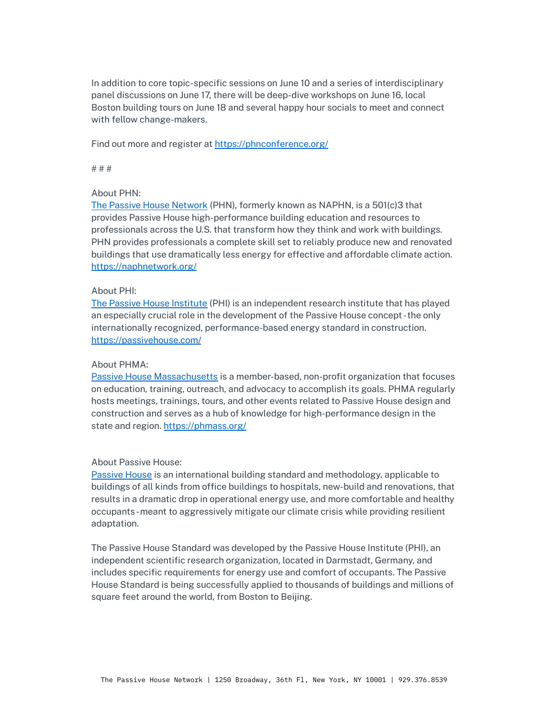In addition to core topic-specific sessions on June 10 and a series of interdisciplinary panel discussions on June 17, there will be deep-dive workshops on June 16, local Boston building tours on June 18 and several happy hour socials to meet and connect with fellow change-makers.

Find out more and register at <https://phnconference.org/>

# # #

#### About PHN:

The Passive House [Network](https://cts.businesswire.com/ct/CT?id=smartlink&url=https%3A%2F%2Fnaphnetwork.org%2F&esheet=52564910&newsitemid=20220119005325&lan=en-US&anchor=The+Passive+House+Network&index=5&md5=32009132f3b57f7c99948502f5e6481c) (PHN), formerly known as NAPHN, is a 501(c)3 that provides Passive House high-performance building education and resources to professionals across the U.S. that transform how they think and work with buildings. PHN provides professionals a complete skill set to reliably produce new and renovated buildings that use dramatically less energy for effective and affordable climate action. <https://naphnetwork.org/>

#### About PHI:

The Passive House [Institute](https://passivehouse.com/) (PHI) is an independent research institute that has played an especially crucial role in the development of the Passive House concept -the only internationally recognized, performance-based energy standard in construction. <https://passivehouse.com/>

## About PHMA:

Passive House [Massachusetts](https://phmass.org/) is a member-based, non-profit organization that focuses on education, training, outreach, and advocacy to accomplish its goals. PHMA regularly hosts meetings, trainings, tours, and other events related to Passive House design and construction and serves as a hub of knowledge for high-performance design in the state and region. <https://phmass.org/>

## About Passive House:

[Passive](https://naphnetwork.org/news/what-is-passive-house-2/) House is an international building standard and methodology, applicable to buildings of all kinds from office buildings to hospitals, new-build and renovations, that results in a dramatic drop in operational energy use, and more comfortable and healthy occupants-meant to aggressively mitigate our climate crisis while providing resilient adaptation.

The Passive House Standard was developed by the Passive House Institute (PHI), an independent scientific research organization, located in Darmstadt, Germany, and includes specific requirements for energy use and comfort of occupants. The Passive House Standard is being successfully applied to thousands of buildings and millions of square feet around the world, from Boston to Beijing.